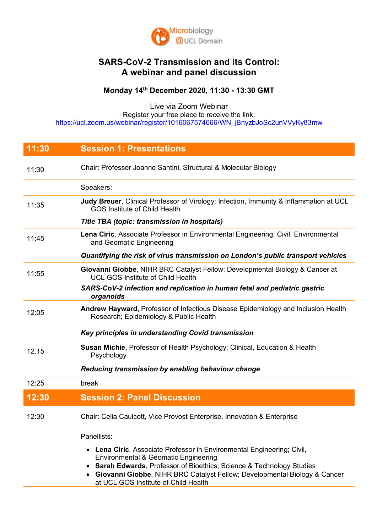

## **SARS-CoV-2 Transmission and its Control: A webinar and panel discussion**

## **Monday 14th December 2020, 11:30 - 13:30 GMT**

Live via Zoom Webinar Register your free place to receive the link: https://ucl.zoom.us/webinar/register/1016067574666/WN\_jBnyzbJoSc2unVVyKy83mw

| 11:30 | <b>Session 1: Presentations</b>                                                                                                                                                                                                                                                                                                    |
|-------|------------------------------------------------------------------------------------------------------------------------------------------------------------------------------------------------------------------------------------------------------------------------------------------------------------------------------------|
| 11:30 | Chair: Professor Joanne Santini, Structural & Molecular Biology                                                                                                                                                                                                                                                                    |
|       | Speakers:                                                                                                                                                                                                                                                                                                                          |
| 11:35 | Judy Breuer, Clinical Professor of Virology; Infection, Immunity & Inflammation at UCL<br><b>GOS Institute of Child Health</b>                                                                                                                                                                                                     |
|       | Title TBA (topic: transmission in hospitals)                                                                                                                                                                                                                                                                                       |
| 11:45 | Lena Ciric, Associate Professor in Environmental Engineering; Civil, Environmental<br>and Geomatic Engineering                                                                                                                                                                                                                     |
|       | Quantifying the risk of virus transmission on London's public transport vehicles                                                                                                                                                                                                                                                   |
| 11:55 | Giovanni Giobbe, NIHR BRC Catalyst Fellow; Developmental Biology & Cancer at<br><b>UCL GOS Institute of Child Health</b>                                                                                                                                                                                                           |
|       | SARS-CoV-2 infection and replication in human fetal and pediatric gastric<br>organoids                                                                                                                                                                                                                                             |
| 12:05 | Andrew Hayward, Professor of Infectious Disease Epidemiology and Inclusion Health<br>Research; Epidemiology & Public Health                                                                                                                                                                                                        |
|       | Key principles in understanding Covid transmission                                                                                                                                                                                                                                                                                 |
| 12.15 | Susan Michie, Professor of Health Psychology; Clinical, Education & Health<br>Psychology                                                                                                                                                                                                                                           |
|       | Reducing transmission by enabling behaviour change                                                                                                                                                                                                                                                                                 |
| 12:25 | break                                                                                                                                                                                                                                                                                                                              |
| 12:30 | <b>Session 2: Panel Discussion</b>                                                                                                                                                                                                                                                                                                 |
| 12:30 | Chair: Celia Caulcott, Vice Provost Enterprise, Innovation & Enterprise                                                                                                                                                                                                                                                            |
|       | Panellists:                                                                                                                                                                                                                                                                                                                        |
|       | • Lena Ciric, Associate Professor in Environmental Engineering; Civil,<br><b>Environmental &amp; Geomatic Engineering</b><br><b>Sarah Edwards, Professor of Bioethics; Science &amp; Technology Studies</b><br>• Giovanni Giobbe, NIHR BRC Catalyst Fellow; Developmental Biology & Cancer<br>at UCL GOS Institute of Child Health |